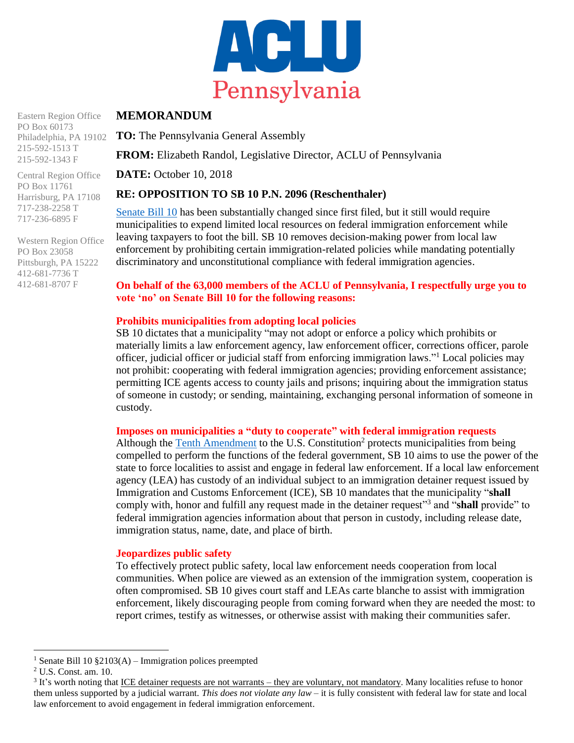

Eastern Region Office PO Box 60173 Philadelphia, PA 19102

215-592-1513 T 215-592-1343 F Central Region Office

PO Box 11761 Harrisburg, PA 17108 717-238-2258 T 717-236-6895 F

Western Region Office PO Box 23058 Pittsburgh, PA 15222 412-681-7736 T 412-681-8707 F

# **MEMORANDUM**

**TO:** The Pennsylvania General Assembly

**FROM:** Elizabeth Randol, Legislative Director, ACLU of Pennsylvania

**DATE:** October 10, 2018

## **RE: OPPOSITION TO SB 10 P.N. 2096 (Reschenthaler)**

[Senate Bill 10](http://www.legis.state.pa.us/cfdocs/billInfo/billInfo.cfm?sYear=2017&sInd=0&body=S&type=B&bn=0010) has been substantially changed since first filed, but it still would require municipalities to expend limited local resources on federal immigration enforcement while leaving taxpayers to foot the bill. SB 10 removes decision-making power from local law enforcement by prohibiting certain immigration-related policies while mandating potentially discriminatory and unconstitutional compliance with federal immigration agencies.

### **On behalf of the 63,000 members of the ACLU of Pennsylvania, I respectfully urge you to vote 'no' on Senate Bill 10 for the following reasons:**

## **Prohibits municipalities from adopting local policies**

SB 10 dictates that a municipality "may not adopt or enforce a policy which prohibits or materially limits a law enforcement agency, law enforcement officer, corrections officer, parole officer, judicial officer or judicial staff from enforcing immigration laws."<sup>1</sup> Local policies may not prohibit: cooperating with federal immigration agencies; providing enforcement assistance; permitting ICE agents access to county jails and prisons; inquiring about the immigration status of someone in custody; or sending, maintaining, exchanging personal information of someone in custody.

### **Imposes on municipalities a "duty to cooperate" with federal immigration requests**

Although the [Tenth Amendment](https://www.law.cornell.edu/constitution/tenth_amendment) to the U.S. Constitution<sup>2</sup> protects municipalities from being compelled to perform the functions of the federal government, SB 10 aims to use the power of the state to force localities to assist and engage in federal law enforcement. If a local law enforcement agency (LEA) has custody of an individual subject to an immigration detainer request issued by Immigration and Customs Enforcement (ICE), SB 10 mandates that the municipality "**shall** comply with, honor and fulfill any request made in the detainer request<sup>33</sup> and "**shall** provide" to federal immigration agencies information about that person in custody, including release date, immigration status, name, date, and place of birth.

### **Jeopardizes public safety**

To effectively protect public safety, local law enforcement needs cooperation from local communities. When police are viewed as an extension of the immigration system, cooperation is often compromised. SB 10 gives court staff and LEAs carte blanche to assist with immigration enforcement, likely discouraging people from coming forward when they are needed the most: to report crimes, testify as witnesses, or otherwise assist with making their communities safer.

 $\overline{a}$ 

<sup>&</sup>lt;sup>1</sup> Senate Bill 10  $\S2103(A)$  – Immigration polices preempted

<sup>2</sup> U.S. Const. am. 10.

<sup>&</sup>lt;sup>3</sup> It's worth noting that <u>ICE detainer requests are not warrants – they are voluntary, not mandatory</u>. Many localities refuse to honor them unless supported by a judicial warrant. *This does not violate any law* – it is fully consistent with federal law for state and local law enforcement to avoid engagement in federal immigration enforcement.